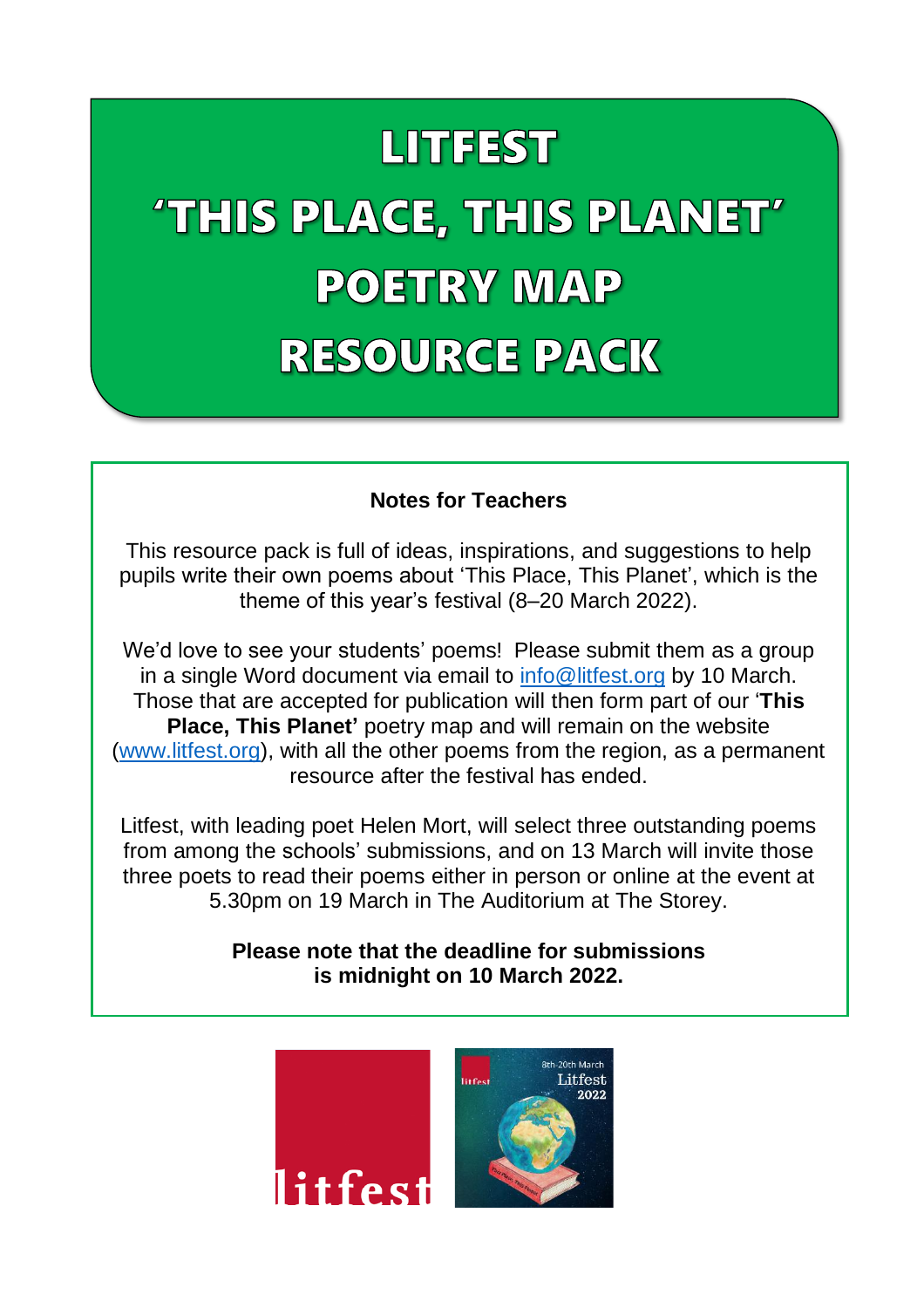# **LITTFEST**

# 'THIS PLACE, THIS PLANET' **POETRY MAP RESOURCE PACK**

#### **Notes for Teachers**

This resource pack is full of ideas, inspirations, and suggestions to help pupils write their own poems about 'This Place, This Planet', which is the theme of this year's festival (8–20 March 2022).

We'd love to see your students' poems! Please submit them as a group in a single Word document via email to [info@litfest.org](mailto:info@litfest.org) by 10 March. Those that are accepted for publication will then form part of our '**This Place, This Planet'** poetry map and will remain on the website [\(www.litfest.org\)](http://www.litfest.org/), with all the other poems from the region, as a permanent resource after the festival has ended.

Litfest, with leading poet Helen Mort, will select three outstanding poems from among the schools' submissions, and on 13 March will invite those three poets to read their poems either in person or online at the event at 5.30pm on 19 March in The Auditorium at The Storey.

> **Please note that the deadline for submissions is midnight on 10 March 2022.**

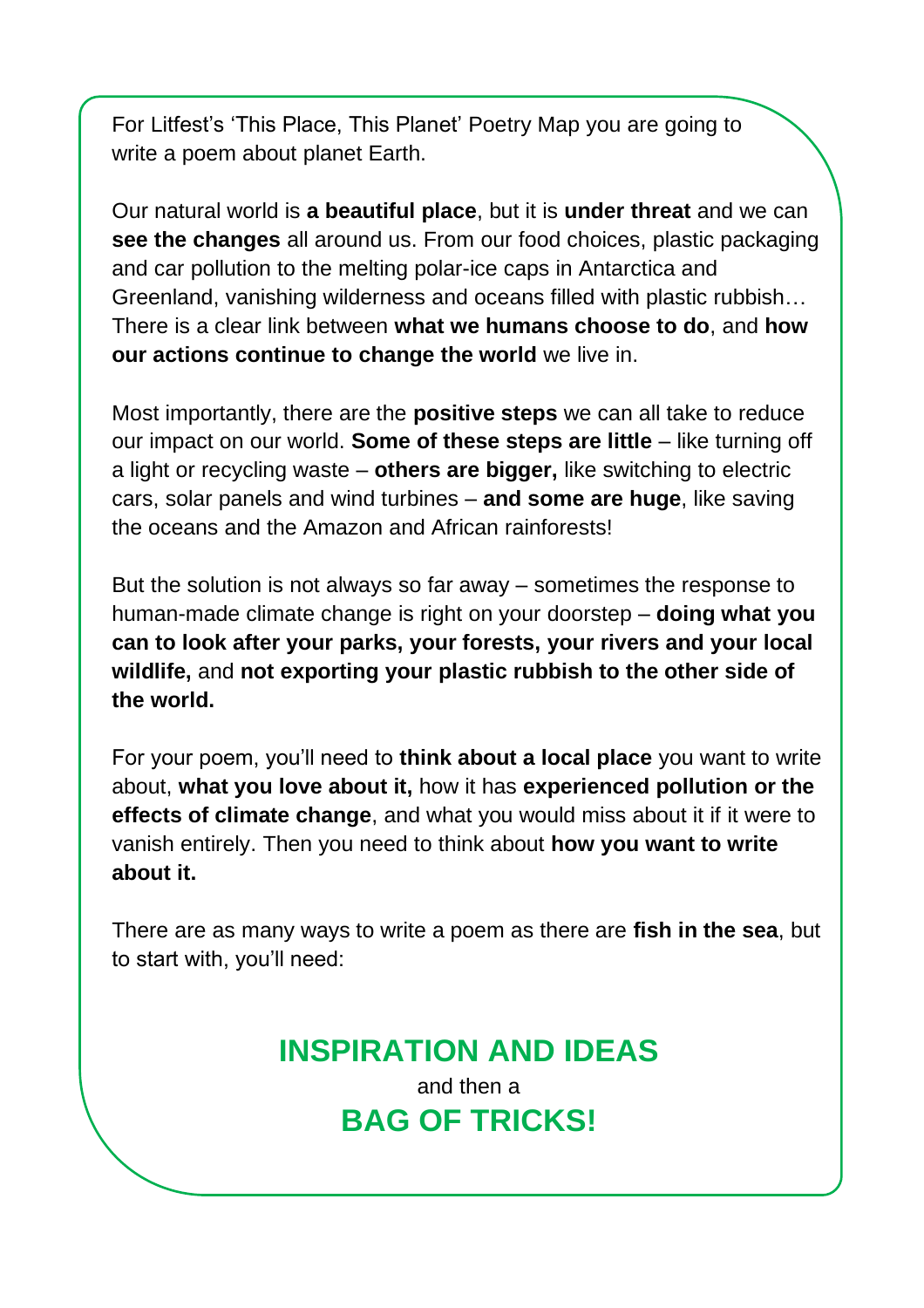For Litfest's 'This Place, This Planet' Poetry Map you are going to write a poem about planet Earth.

Our natural world is **a beautiful place**, but it is **under threat** and we can **see the changes** all around us. From our food choices, plastic packaging and car pollution to the melting polar-ice caps in Antarctica and Greenland, vanishing wilderness and oceans filled with plastic rubbish… There is a clear link between **what we humans choose to do**, and **how our actions continue to change the world** we live in.

Most importantly, there are the **positive steps** we can all take to reduce our impact on our world. **Some of these steps are little** – like turning off a light or recycling waste – **others are bigger,** like switching to electric cars, solar panels and wind turbines – **and some are huge**, like saving the oceans and the Amazon and African rainforests!

But the solution is not always so far away – sometimes the response to human-made climate change is right on your doorstep – **doing what you can to look after your parks, your forests, your rivers and your local wildlife,** and **not exporting your plastic rubbish to the other side of the world.**

For your poem, you'll need to **think about a local place** you want to write about, **what you love about it,** how it has **experienced pollution or the effects of climate change**, and what you would miss about it if it were to vanish entirely. Then you need to think about **how you want to write about it.**

There are as many ways to write a poem as there are **fish in the sea**, but to start with, you'll need:

### **INSPIRATION AND IDEAS** and then a

**BAG OF TRICKS!**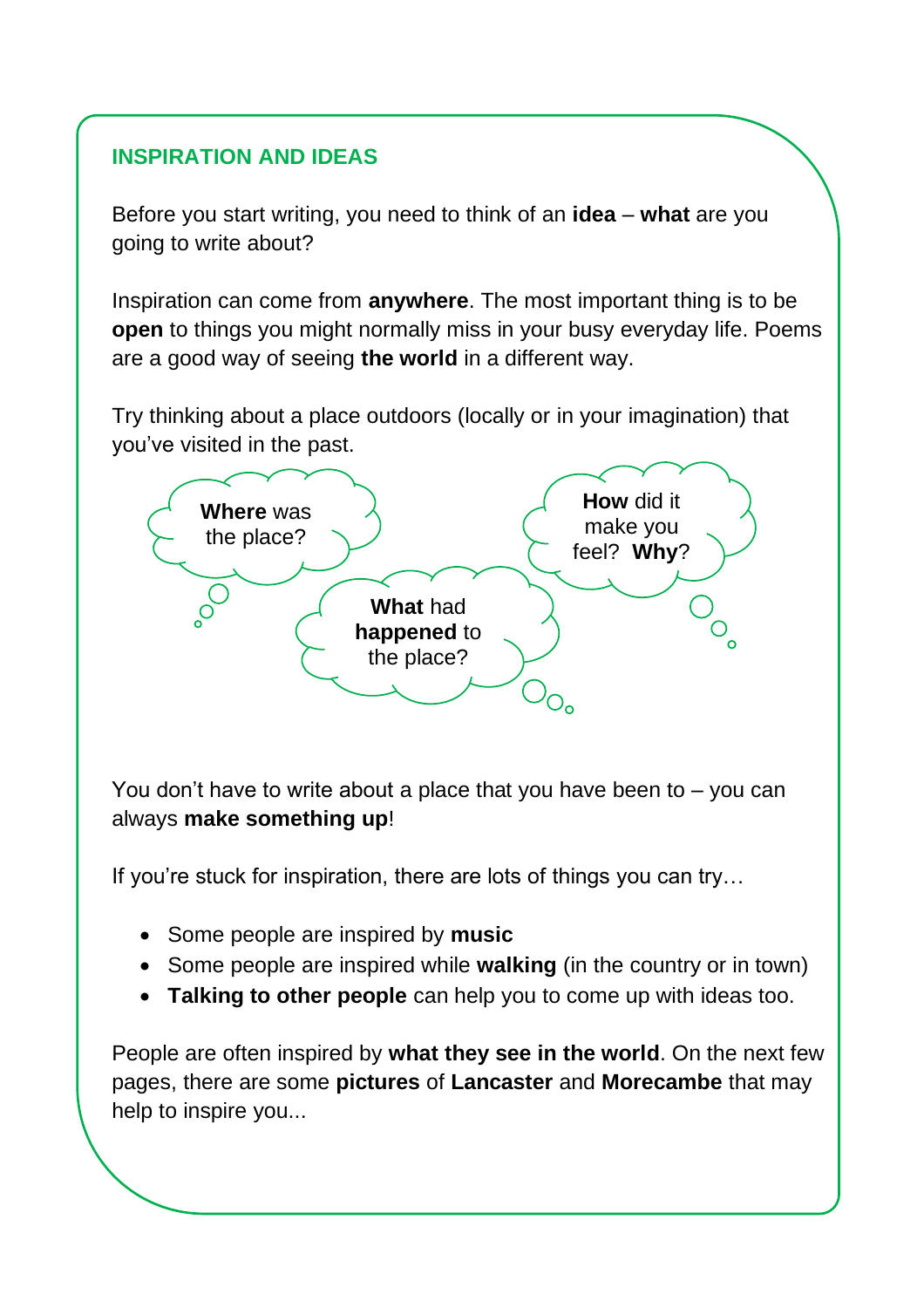#### **INSPIRATION AND IDEAS**

Before you start writing, you need to think of an **idea** – **what** are you going to write about?

Inspiration can come from **anywhere**. The most important thing is to be **open** to things you might normally miss in your busy everyday life. Poems are a good way of seeing **the world** in a different way.

Try thinking about a place outdoors (locally or in your imagination) that you've visited in the past.



You don't have to write about a place that you have been to – you can always **make something up**!

If you're stuck for inspiration, there are lots of things you can try…

- Some people are inspired by **music**
- Some people are inspired while **walking** (in the country or in town)
- **Talking to other people** can help you to come up with ideas too.

People are often inspired by **what they see in the world**. On the next few pages, there are some **pictures** of **Lancaster** and **Morecambe** that may help to inspire you...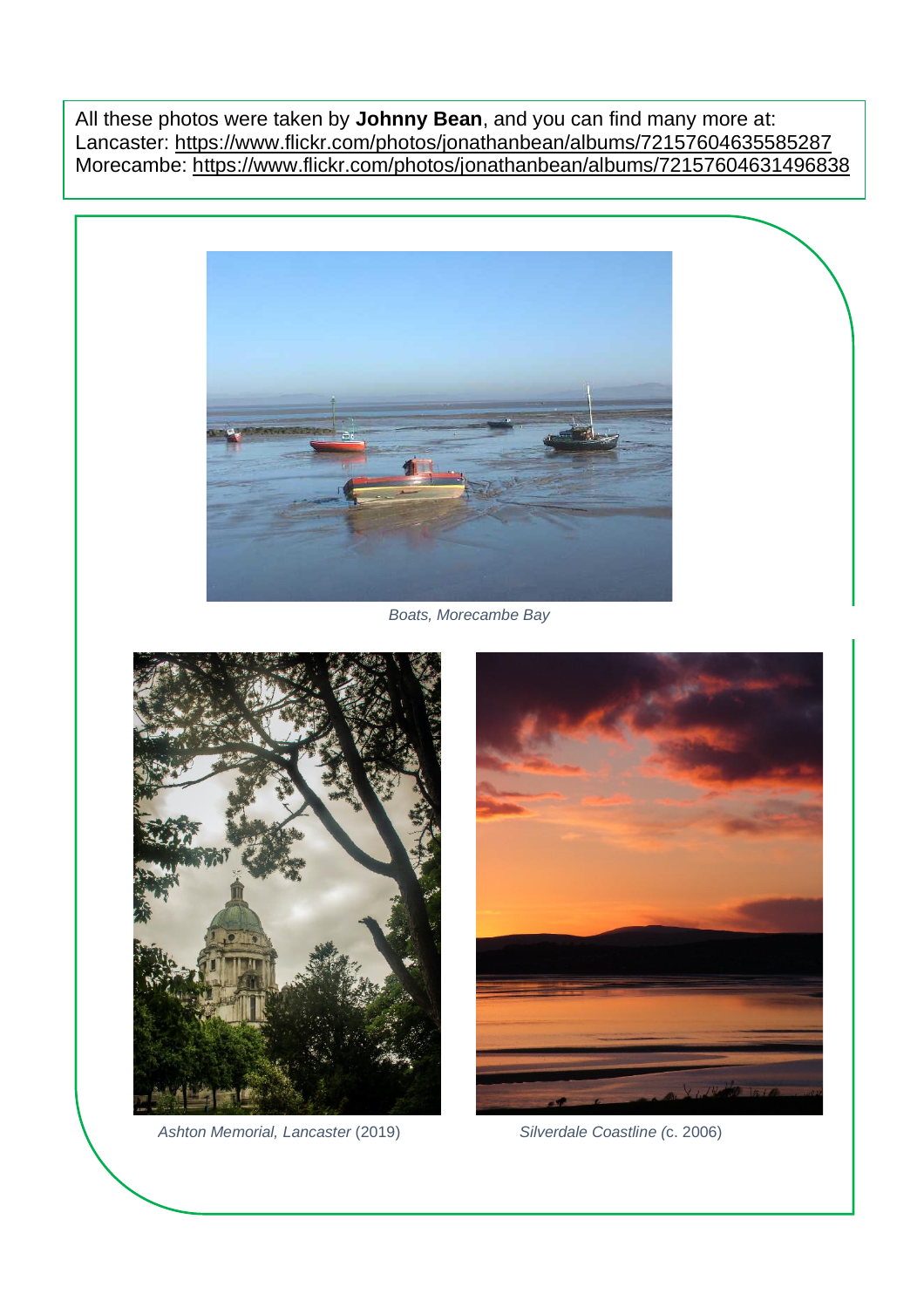All these photos were taken by **Johnny Bean**, and you can find many more at: Lancaster: <https://www.flickr.com/photos/jonathanbean/albums/72157604635585287> Morecambe: <https://www.flickr.com/photos/jonathanbean/albums/72157604631496838>



*Boats, Morecambe Bay*



*Ashton Memorial, Lancaster* (2019) *Silverdale Coastline (*c. 2006)

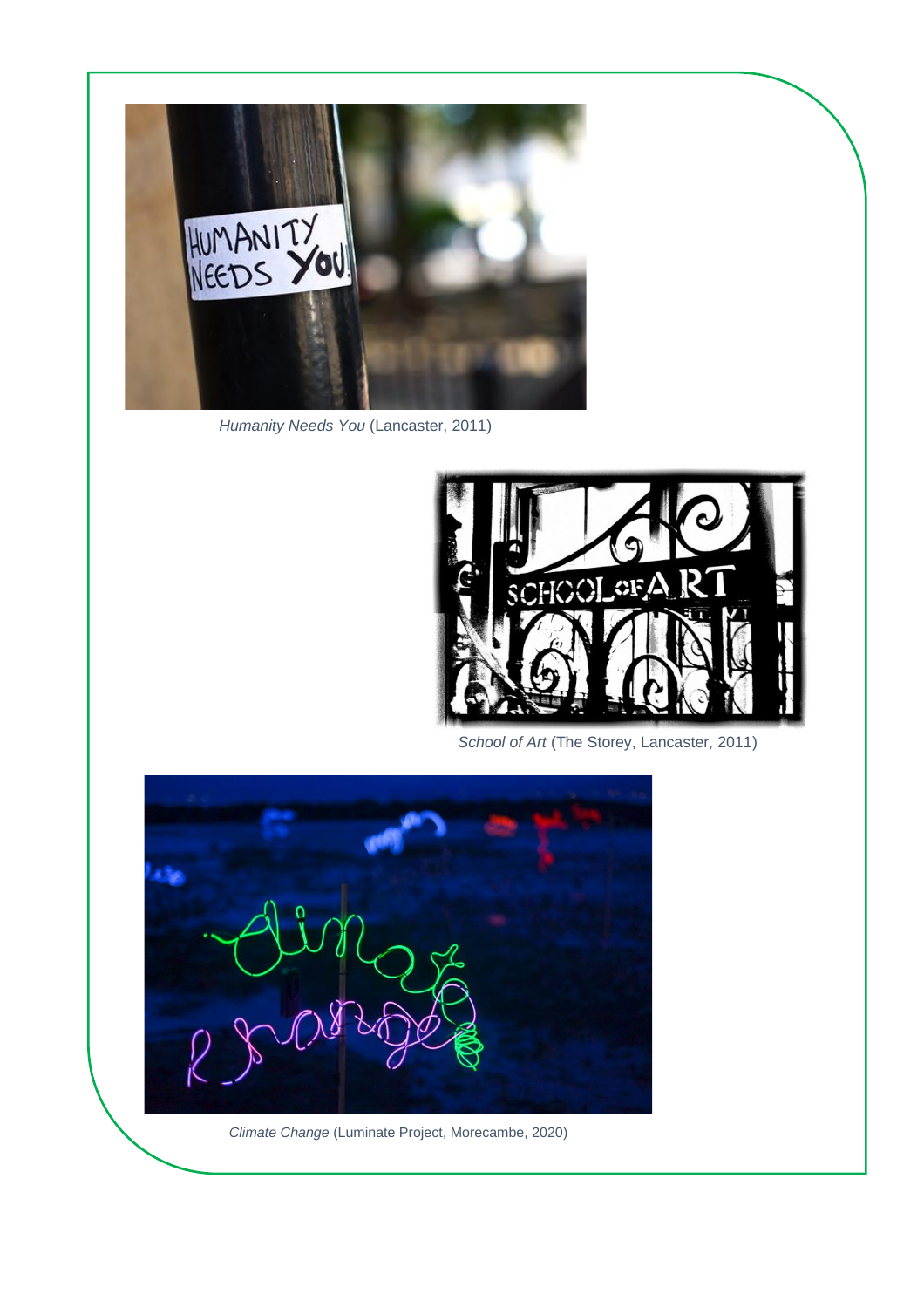

*Humanity Needs You* (Lancaster, 2011)



*School of Art* (The Storey, Lancaster, 2011)



*Climate Change* (Luminate Project, Morecambe, 2020)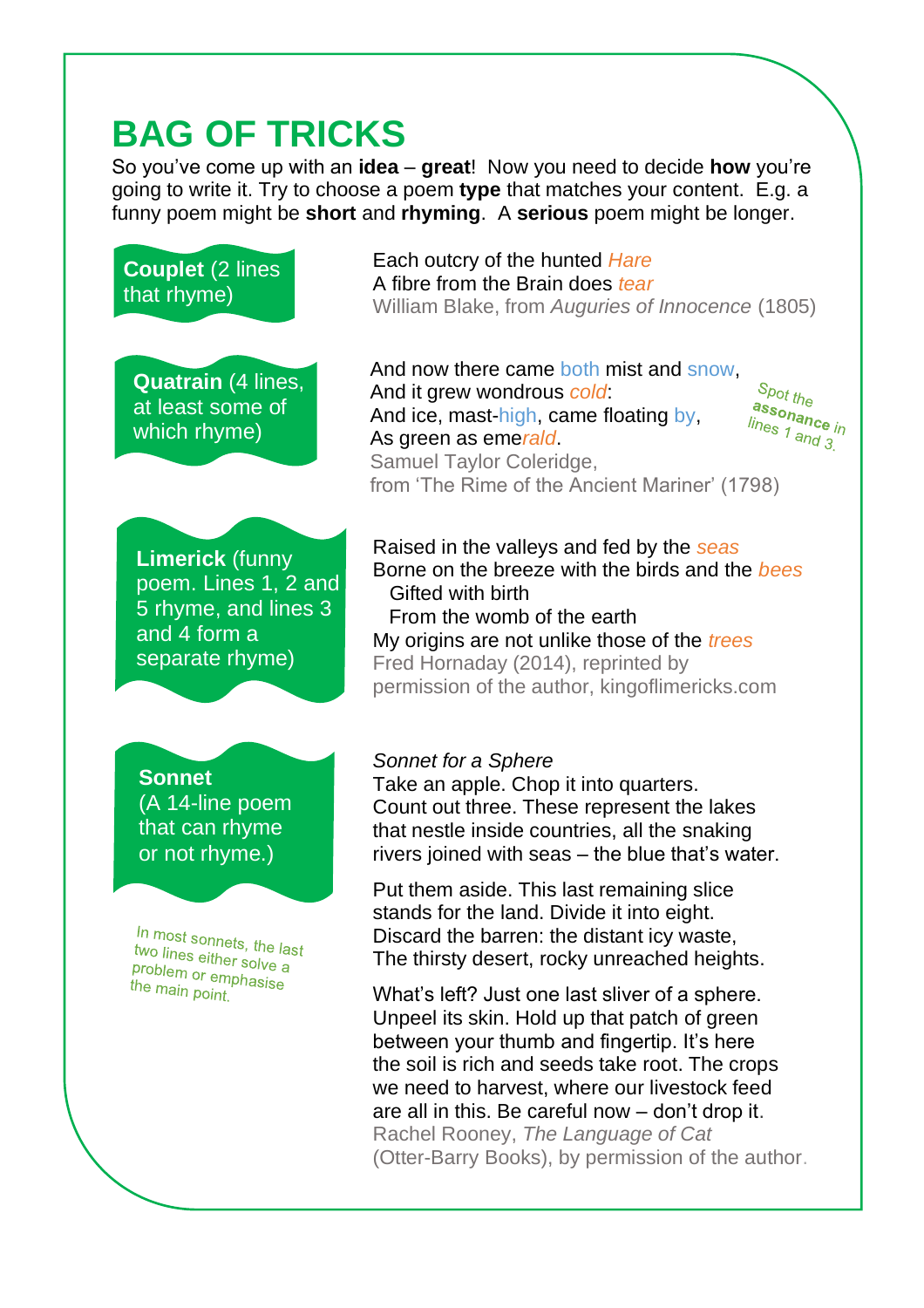# **BAG OF TRICKS**

So you've come up with an **idea** – **great**! Now you need to decide **how** you're going to write it. Try to choose a poem **type** that matches your content. E.g. a funny poem might be **short** and **rhyming**. A **serious** poem might be longer.

**Couplet** (2 lines that rhyme)

**Quatrain** (4 lines, at least some of which rhyme)

**Limerick** (funny poem. Lines 1, 2 and 5 rhyme, and lines 3 and 4 form a separate rhyme)

**Sonnet** (A 14-line poem that can rhyme or not rhyme.)

In most sonnets, the last<br>two lines either. two lines either solve a problem or emphasise<br>the main point phasise the main point.

Each outcry of the hunted *Hare* A fibre from the Brain does *tear* William Blake, from *Auguries of Innocence* (1805)

And now there came both mist and snow,  $S_{pot}$  the And it grew wondrous *cold*: assonance<br>assonance<br>lines 1 april in And ice, mast-high, came floating by, lines 1 and 3. As green as eme*rald*. Samuel Taylor Coleridge, from 'The Rime of the Ancient Mariner' (1798)

Raised in the valleys and fed by the *seas* Borne on the breeze with the birds and the *bees* Gifted with birth From the womb of the earth My origins are not unlike those of the *trees*

Fred Hornaday (2014), reprinted by permission of the author, kingoflimericks.com

#### *Sonnet for a Sphere*

Take an apple. Chop it into quarters. Count out three. These represent the lakes that nestle inside countries, all the snaking rivers joined with seas – the blue that's water.

Put them aside. This last remaining slice stands for the land. Divide it into eight. Discard the barren: the distant icy waste, The thirsty desert, rocky unreached heights.

What's left? Just one last sliver of a sphere. Unpeel its skin. Hold up that patch of green between your thumb and fingertip. It's here the soil is rich and seeds take root. The crops we need to harvest, where our livestock feed are all in this. Be careful now – don't drop it. Rachel Rooney, *The Language of Cat* (Otter-Barry Books), by permission of the author.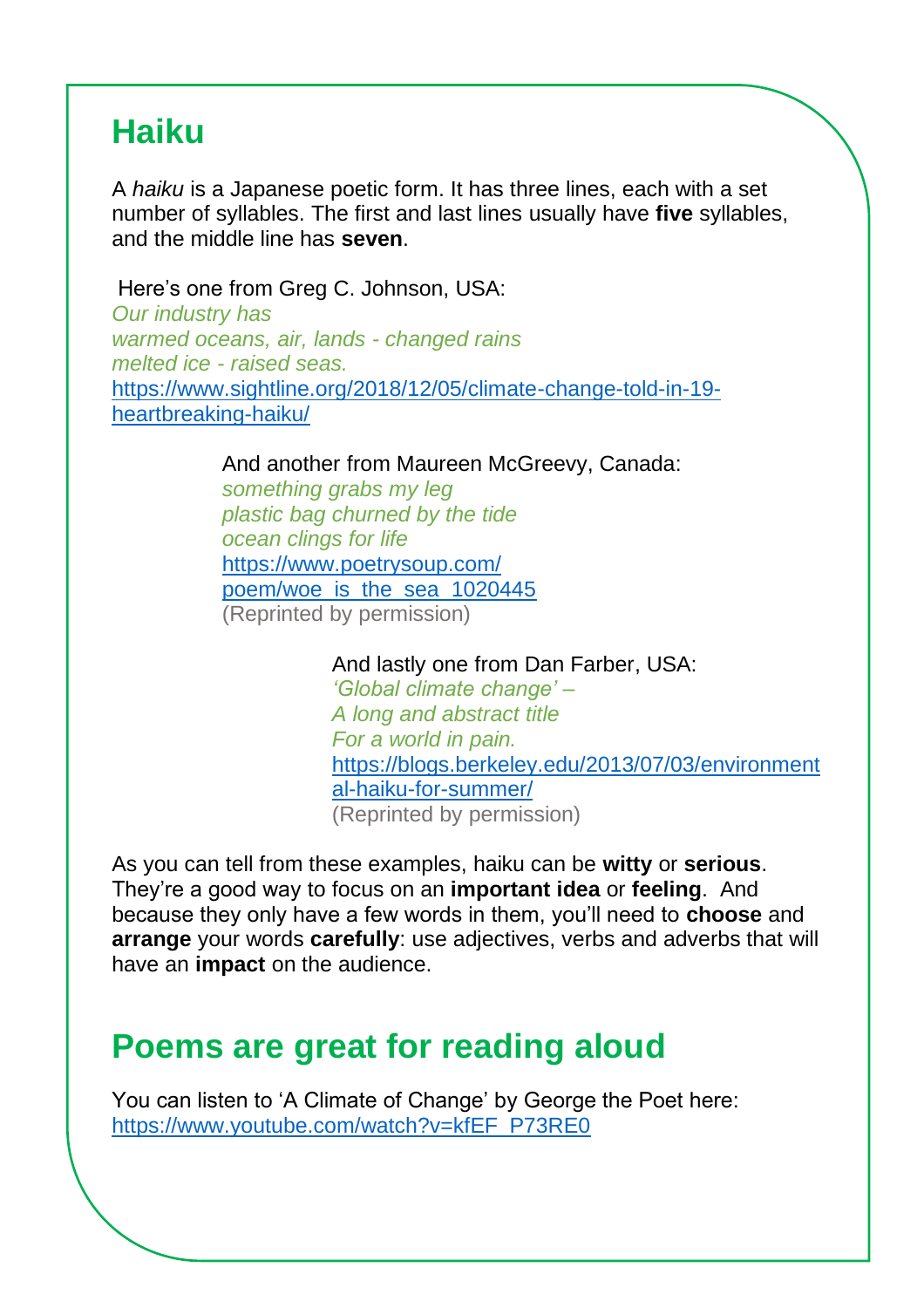### **Haiku**

A *haiku* is a Japanese poetic form. It has three lines, each with a set number of syllables. The first and last lines usually have **five** syllables, and the middle line has **seven**.

Here's one from Greg C. Johnson, USA: *Our industry has warmed oceans, air, lands - changed rains melted ice - raised seas.* [https://www.sightline.org/2018/12/05/climate-change-told-in-19](https://www.sightline.org/2018/12/05/climate-change-told-in-19-heartbreaking-haiku/) [heartbreaking-haiku/](https://www.sightline.org/2018/12/05/climate-change-told-in-19-heartbreaking-haiku/)

And another from Maureen McGreevy, Canada:

*something grabs my leg plastic bag churned by the tide ocean clings for life* [https://www.poetrysoup.com/](https://www.poetrysoup.com/poem/woe_is_the_sea_1020445) [poem/woe\\_is\\_the\\_sea\\_1020445](https://www.poetrysoup.com/poem/woe_is_the_sea_1020445) (Reprinted by permission)

> And lastly one from Dan Farber, USA: *'Global climate change' – A long and abstract title For a world in pain.* [https://blogs.berkeley.edu/2013/07/03/environment](https://blogs.berkeley.edu/2013/07/03/environmental-haiku-for-summer/) [al-haiku-for-summer/](https://blogs.berkeley.edu/2013/07/03/environmental-haiku-for-summer/) (Reprinted by permission)

As you can tell from these examples, haiku can be **witty** or **serious**. They're a good way to focus on an **important idea** or **feeling**. And because they only have a few words in them, you'll need to **choose** and **arrange** your words **carefully**: use adjectives, verbs and adverbs that will have an **impact** on the audience.

## **Poems are great for reading aloud**

You can listen to 'A Climate of Change' by George the Poet here: [https://www.youtube.com/watch?v=kfEF\\_P73RE0](https://www.youtube.com/watch?v=kfEF_P73RE0)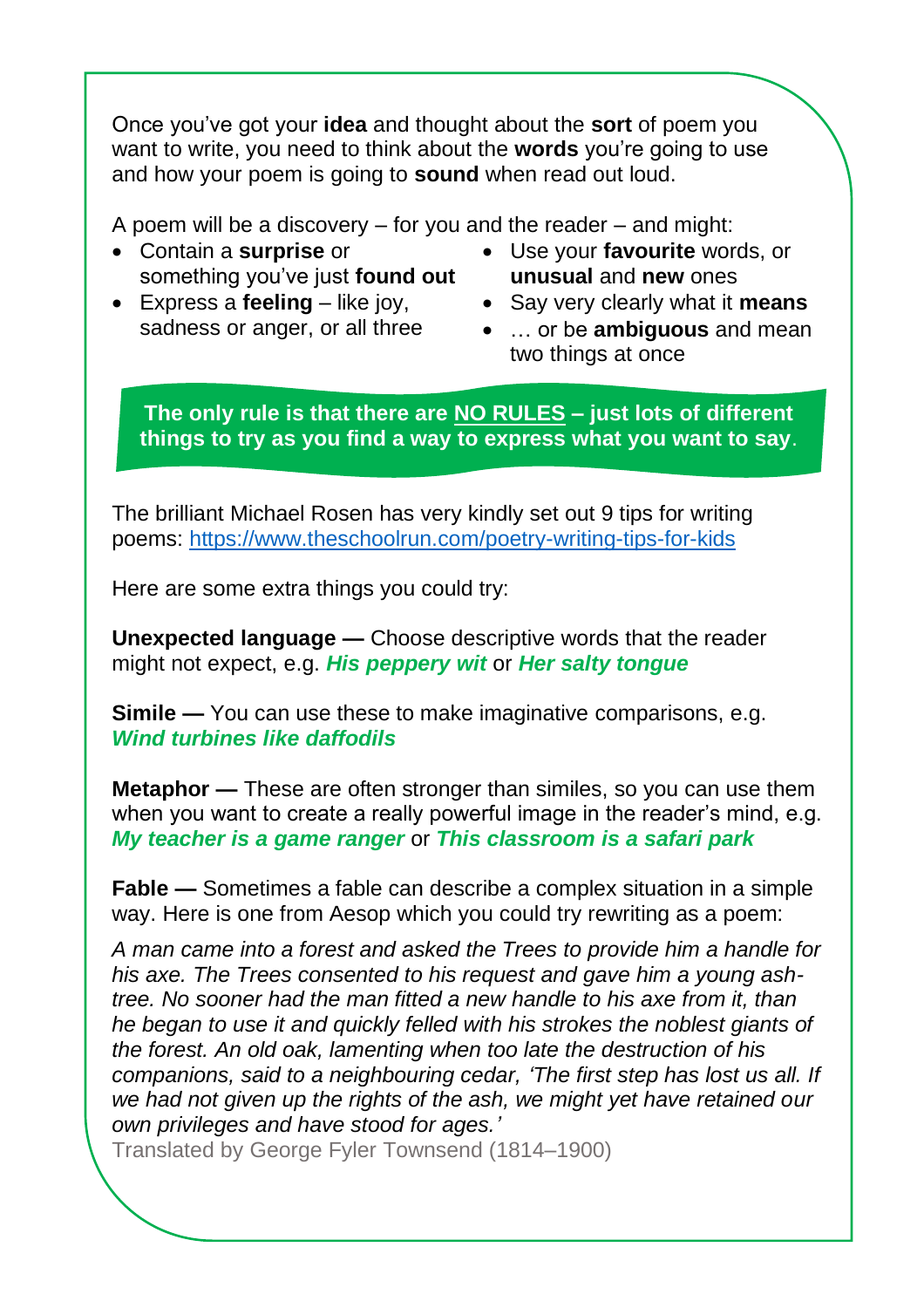Once you've got your **idea** and thought about the **sort** of poem you want to write, you need to think about the **words** you're going to use and how your poem is going to **sound** when read out loud.

A poem will be a discovery – for you and the reader – and might:

- Contain a **surprise** or something you've just **found out**
- Express a **feeling** like joy, sadness or anger, or all three
- Use your **favourite** words, or **unusual** and **new** ones
- Say very clearly what it **means**
- … or be **ambiguous** and mean two things at once

**The only rule is that there are NO RULES – just lots of different things to try as you find a way to express what you want to say**.

The brilliant Michael Rosen has very kindly set out 9 tips for writing poems:<https://www.theschoolrun.com/poetry-writing-tips-for-kids>

Here are some extra things you could try:

**Unexpected language —** Choose descriptive words that the reader might not expect, e.g. *His peppery wit* or *Her salty tongue*

**Simile** — You can use these to make imaginative comparisons, e.g. *Wind turbines like daffodils*

**Metaphor —** These are often stronger than similes, so you can use them when you want to create a really powerful image in the reader's mind, e.g. *My teacher is a game ranger* or *This classroom is a safari park*

**Fable —** Sometimes a fable can describe a complex situation in a simple way. Here is one from Aesop which you could try rewriting as a poem:

*A man came into a forest and asked the Trees to provide him a handle for his axe. The Trees consented to his request and gave him a young ashtree. No sooner had the man fitted a new handle to his axe from it, than he began to use it and quickly felled with his strokes the noblest giants of the forest. An old oak, lamenting when too late the destruction of his companions, said to a neighbouring cedar, 'The first step has lost us all. If we had not given up the rights of the ash, we might yet have retained our own privileges and have stood for ages.'*

Translated by George Fyler Townsend (1814–1900)